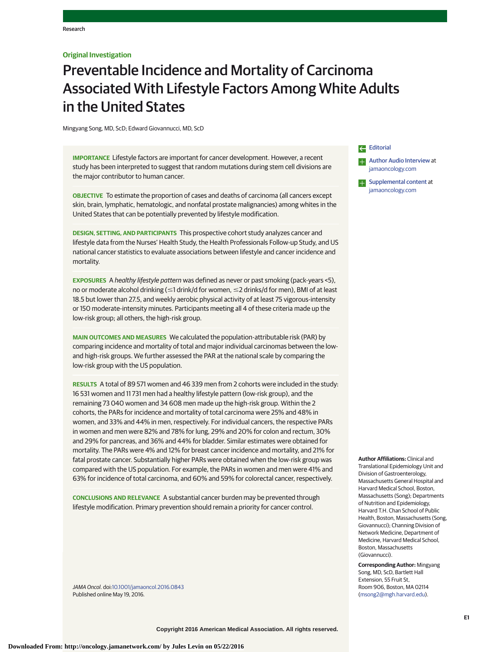## **Original Investigation**

# Preventable Incidence and Mortality of Carcinoma Associated With Lifestyle Factors Among White Adults in the United States

Mingyang Song, MD, ScD; Edward Giovannucci, MD, ScD

**IMPORTANCE** Lifestyle factors are important for cancer development. However, a recent study has been interpreted to suggest that random mutations during stem cell divisions are the major contributor to human cancer.

**OBJECTIVE** To estimate the proportion of cases and deaths of carcinoma (all cancers except skin, brain, lymphatic, hematologic, and nonfatal prostate malignancies) among whites in the United States that can be potentially prevented by lifestyle modification.

**DESIGN, SETTING, AND PARTICIPANTS** This prospective cohort study analyzes cancer and lifestyle data from the Nurses' Health Study, the Health Professionals Follow-up Study, and US national cancer statistics to evaluate associations between lifestyle and cancer incidence and mortality.

**EXPOSURES** A healthy lifestyle pattern was defined as never or past smoking (pack-years <5), no or moderate alcohol drinking (≤1 drink/d for women, ≤2 drinks/d for men), BMI of at least 18.5 but lower than 27.5, and weekly aerobic physical activity of at least 75 vigorous-intensity or 150 moderate-intensity minutes. Participants meeting all 4 of these criteria made up the low-risk group; all others, the high-risk group.

**MAIN OUTCOMES AND MEASURES** We calculated the population-attributable risk (PAR) by comparing incidence and mortality of total and major individual carcinomas between the lowand high-risk groups. We further assessed the PAR at the national scale by comparing the low-risk group with the US population.

**RESULTS** A total of 89 571 women and 46 339 men from 2 cohorts were included in the study: 16 531 women and 11 731 men had a healthy lifestyle pattern (low-risk group), and the remaining 73 040 women and 34 608 men made up the high-risk group. Within the 2 cohorts, the PARs for incidence and mortality of total carcinoma were 25% and 48% in women, and 33% and 44% in men, respectively. For individual cancers, the respective PARs in women and men were 82% and 78% for lung, 29% and 20% for colon and rectum, 30% and 29% for pancreas, and 36% and 44% for bladder. Similar estimates were obtained for mortality. The PARs were 4% and 12% for breast cancer incidence and mortality, and 21% for fatal prostate cancer. Substantially higher PARs were obtained when the low-risk group was compared with the US population. For example, the PARs in women and men were 41% and 63% for incidence of total carcinoma, and 60% and 59% for colorectal cancer, respectively.

**CONCLUSIONS AND RELEVANCE** A substantial cancer burden may be prevented through lifestyle modification. Primary prevention should remain a priority for cancer control.

JAMA Oncol. doi[:10.1001/jamaoncol.2016.0843](http://jama.jamanetwork.com/article.aspx?doi=10.1001/jamaoncol.2016.0843&utm_campaign=articlePDF%26utm_medium=articlePDFlink%26utm_source=articlePDF%26utm_content=jamaoncol.2016.0843) Published online May 19, 2016.

[Editorial](http://jama.jamanetwork.com/article.aspx?doi=10.1001/jamaoncol.2016.0889&utm_campaign=articlePDF%26utm_medium=articlePDFlink%26utm_source=articlePDF%26utm_content=jamaoncol.2016.0843) **[Author Audio Interview](http://jama.jamanetwork.com/article.aspx?doi=10.1001/jamaoncol.2016.0843&utm_campaign=articlePDF%26utm_medium=articlePDFlink%26utm_source=articlePDF%26utm_content=jamaoncol.2016.0843) at** [jamaoncology.com](http://www.jamaoncology.com/?utm_campaign=articlePDF%26utm_medium=articlePDFlink%26utm_source=articlePDF%26utm_content=jamaoncol.2016.0843)



**Author Affiliations:** Clinical and Translational Epidemiology Unit and Division of Gastroenterology, Massachusetts General Hospital and Harvard Medical School, Boston, Massachusetts (Song); Departments of Nutrition and Epidemiology, Harvard T.H. Chan School of Public Health, Boston, Massachusetts (Song, Giovannucci); Channing Division of Network Medicine, Department of Medicine, Harvard Medical School, Boston, Massachusetts (Giovannucci).

**Corresponding Author:** Mingyang Song, MD, ScD, Bartlett Hall Extension, 55 Fruit St, Room 906, Boston, MA 02114 [\(msong2@mgh.harvard.edu\)](mailto:msong2@mgh.harvard.edu).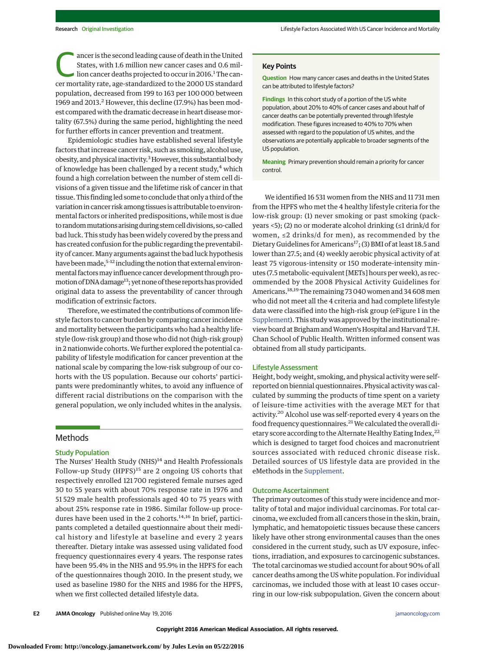The second leading cause of death in the United<br>States, with 1.6 million new cancer cases and 0.6 mil-<br>lion cancer deaths projected to occur in 2016.<sup>1</sup> The can-<br>car mortality rate, and ard ard ard to the 2000 US standard States, with 1.6 million new cancer cases and 0.6 milcer mortality rate, age-standardized to the 2000 US standard population, decreased from 199 to 163 per 100 000 between 1969 and 2013.<sup>2</sup> However, this decline (17.9%) has been modest compared with the dramatic decrease in heart diseasemortality (67.5%) during the same period, highlighting the need for further efforts in cancer prevention and treatment.

Epidemiologic studies have established several lifestyle factors that increase cancer risk, such as smoking, alcohol use, obesity, and physical inactivity.<sup>3</sup> However, this substantial body of knowledge has been challenged by a recent study, $4$  which found a high correlation between the number of stem cell divisions of a given tissue and the lifetime risk of cancer in that tissue. This finding led some to conclude that only a third of the variation in cancer risk among tissues is attributable to environmental factors or inherited predispositions, while most is due to random mutations arising during stem cell divisions, so-called bad luck. This study has been widely covered by the press and has created confusion for the public regarding the preventability of cancer. Many arguments against the bad luck hypothesis have been made,<sup>5-12</sup> including the notion that external environmental factors may influence cancer development through promotion of DNA damage<sup>13</sup>; yet none of these reports has provided original data to assess the preventability of cancer through modification of extrinsic factors.

Therefore, we estimated the contributions of common lifestyle factors to cancer burden by comparing cancer incidence and mortality between the participants who had a healthy lifestyle (low-risk group) and those who did not (high-risk group) in 2 nationwide cohorts. We further explored the potential capability of lifestyle modification for cancer prevention at the national scale by comparing the low-risk subgroup of our cohorts with the US population. Because our cohorts' participants were predominantly whites, to avoid any influence of different racial distributions on the comparison with the general population, we only included whites in the analysis.

# Methods

# Study Population

The Nurses' Health Study (NHS)<sup>14</sup> and Health Professionals Follow-up Study (HPFS)<sup>15</sup> are 2 ongoing US cohorts that respectively enrolled 121 700 registered female nurses aged 30 to 55 years with about 70% response rate in 1976 and 51 529 male health professionals aged 40 to 75 years with about 25% response rate in 1986. Similar follow-up procedures have been used in the 2 cohorts. $14,16$  In brief, participants completed a detailed questionnaire about their medical history and lifestyle at baseline and every 2 years thereafter. Dietary intake was assessed using validated food frequency questionnaires every 4 years. The response rates have been 95.4% in the NHS and 95.9% in the HPFS for each of the questionnaires though 2010. In the present study, we used as baseline 1980 for the NHS and 1986 for the HPFS, when we first collected detailed lifestyle data.

## **Key Points**

**Question** How many cancer cases and deaths in the United States can be attributed to lifestyle factors?

**Findings** In this cohort study of a portion of the US white population, about 20% to 40% of cancer cases and about half of cancer deaths can be potentially prevented through lifestyle modification. These figures increased to 40% to 70% when assessed with regard to the population of US whites, and the observations are potentially applicable to broader segments of the US population.

**Meaning** Primary prevention should remain a priority for cancer control.

We identified 16 531 women from the NHS and 11 731 men from the HPFS who met the 4 healthy lifestyle criteria for the low-risk group: (1) never smoking or past smoking (packyears <5); (2) no or moderate alcohol drinking (≤1 drink/d for women, ≤2 drinks/d for men), as recommended by the Dietary Guidelines for Americans<sup>17</sup>; (3) BMI of at least 18.5 and lower than 27.5; and (4) weekly aerobic physical activity of at least 75 vigorous-intensity or 150 moderate-intensity minutes (7.5 metabolic-equivalent [METs] hours per week), as recommended by the 2008 Physical Activity Guidelines for Americans.<sup>18,19</sup>The remaining 73 040 women and 34 608 men who did not meet all the 4 criteria and had complete lifestyle data were classified into the high-risk group (eFigure 1 in the [Supplement\)](http://jama.jamanetwork.com/article.aspx?doi=10.1001/jamaoncol.2016.0843&utm_campaign=articlePDF%26utm_medium=articlePDFlink%26utm_source=articlePDF%26utm_content=jamaoncol.2016.0843). This study was approved by the institutional review board at Brigham and Women's Hospital and Harvard T.H. Chan School of Public Health. Written informed consent was obtained from all study participants.

### Lifestyle Assessment

Height, body weight, smoking, and physical activity were selfreported on biennial questionnaires. Physical activity was calculated by summing the products of time spent on a variety of leisure-time activities with the average MET for that activity.20 Alcohol use was self-reported every 4 years on the food frequency questionnaires.<sup>21</sup> We calculated the overall dietary score according to the Alternate Healthy Eating Index, <sup>22</sup> which is designed to target food choices and macronutrient sources associated with reduced chronic disease risk. Detailed sources of US lifestyle data are provided in the eMethods in the [Supplement.](http://jama.jamanetwork.com/article.aspx?doi=10.1001/jamaoncol.2016.0843&utm_campaign=articlePDF%26utm_medium=articlePDFlink%26utm_source=articlePDF%26utm_content=jamaoncol.2016.0843)

#### Outcome Ascertainment

The primary outcomes of this study were incidence and mortality of total and major individual carcinomas. For total carcinoma, we excluded from all cancers those in the skin, brain, lymphatic, and hematopoietic tissues because these cancers likely have other strong environmental causes than the ones considered in the current study, such as UV exposure, infections, irradiation, and exposures to carcinogenic substances. The total carcinomas we studied account for about 90% of all cancer deaths among the US white population. For individual carcinomas, we included those with at least 10 cases occurring in our low-risk subpopulation. Given the concern about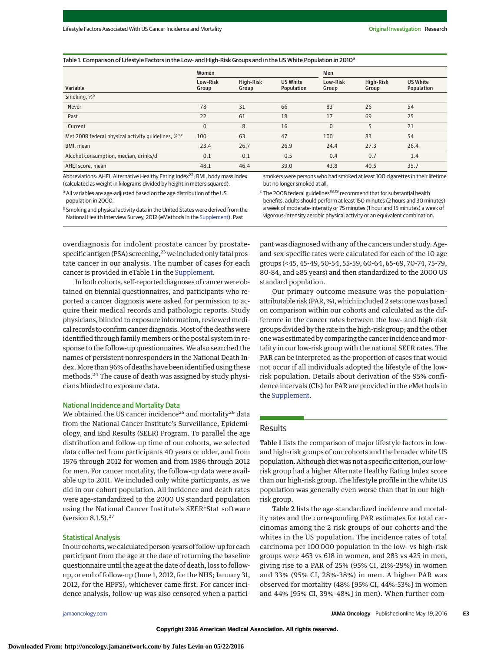#### Table 1. Comparison of Lifestyle Factors in the Low- and High-Risk Groups and in the US White Population in 2010<sup>a</sup>

|                                                                 | Women             |                    |                               | Men               |                    |                               |
|-----------------------------------------------------------------|-------------------|--------------------|-------------------------------|-------------------|--------------------|-------------------------------|
| Variable                                                        | Low-Risk<br>Group | High-Risk<br>Group | <b>US White</b><br>Population | Low-Risk<br>Group | High-Risk<br>Group | <b>US White</b><br>Population |
| Smoking, % <sup>b</sup>                                         |                   |                    |                               |                   |                    |                               |
| Never                                                           | 78                | 31                 | 66                            | 83                | 26                 | 54                            |
| Past                                                            | 22                | 61                 | 18                            | 17                | 69                 | 25                            |
| Current                                                         | $\overline{0}$    | 8                  | 16                            | $\mathbf{0}$      | 5                  | 21                            |
| Met 2008 federal physical activity quidelines, % <sup>b,c</sup> | 100               | 63                 | 47                            | 100               | 83                 | 54                            |
| BMI, mean                                                       | 23.4              | 26.7               | 26.9                          | 24.4              | 27.3               | 26.4                          |
| Alcohol consumption, median, drinks/d                           | 0.1               | 0.1                | 0.5                           | 0.4               | 0.7                | 1.4                           |
| AHEI score, mean                                                | 48.1              | 46.4               | 39.0                          | 43.8              | 40.5               | 35.7                          |

Abbreviations: AHEI, Alternative Healthy Eating Index<sup>22</sup>; BMI, body mass index (calculated as weight in kilograms divided by height in meters squared).

a All variables are age-adjusted based on the age distribution of the US population in 2000.

smokers were persons who had smoked at least 100 cigarettes in their lifetime but no longer smoked at all.

 $c$  The 2008 federal guidelines<sup>18,19</sup> recommend that for substantial health benefits, adults should perform at least 150 minutes (2 hours and 30 minutes) a week of moderate-intensity or 75 minutes (1 hour and 15 minutes) a week of vigorous-intensity aerobic physical activity or an equivalent combination.

overdiagnosis for indolent prostate cancer by prostate-

<sup>b</sup> Smoking and physical activity data in the United States were derived from the National Health Interview Survey, 2012 (eMethods in the [Supplement\)](http://jama.jamanetwork.com/article.aspx?doi=10.1001/jamaoncol.2016.0843&utm_campaign=articlePDF%26utm_medium=articlePDFlink%26utm_source=articlePDF%26utm_content=jamaoncol.2016.0843). Past

specific antigen (PSA) screening,<sup>23</sup> we included only fatal prostate cancer in our analysis. The number of cases for each cancer is provided in eTable 1 in the [Supplement.](http://jama.jamanetwork.com/article.aspx?doi=10.1001/jamaoncol.2016.0843&utm_campaign=articlePDF%26utm_medium=articlePDFlink%26utm_source=articlePDF%26utm_content=jamaoncol.2016.0843)

In both cohorts, self-reported diagnoses of cancer were obtained on biennial questionnaires, and participants who reported a cancer diagnosis were asked for permission to acquire their medical records and pathologic reports. Study physicians, blinded to exposure information, reviewed medical records to confirm cancer diagnosis.Most of the deathswere identified through family members or the postal system in response to the follow-up questionnaires. We also searched the names of persistent nonresponders in the National Death Index. More than 96% of deaths have been identified using these methods.<sup>24</sup> The cause of death was assigned by study physicians blinded to exposure data.

#### National Incidence and Mortality Data

We obtained the US cancer incidence<sup>25</sup> and mortality<sup>26</sup> data from the National Cancer Institute's Surveillance, Epidemiology, and End Results (SEER) Program. To parallel the age distribution and follow-up time of our cohorts, we selected data collected from participants 40 years or older, and from 1976 through 2012 for women and from 1986 through 2012 for men. For cancer mortality, the follow-up data were available up to 2011. We included only white participants, as we did in our cohort population. All incidence and death rates were age-standardized to the 2000 US standard population using the National Cancer Institute's SEER\*Stat software (version 8.1.5). $^{27}$ 

## Statistical Analysis

In our cohorts,we calculated person-years of follow-up for each participant from the age at the date of returning the baseline questionnaire until the age at the date of death, loss to followup, or end of follow-up (June 1, 2012, for the NHS; January 31, 2012, for the HPFS), whichever came first. For cancer incidence analysis, follow-up was also censored when a participant was diagnosed with any of the cancers under study. Ageand sex-specific rates were calculated for each of the 10 age groups (<45, 45-49, 50-54, 55-59, 60-64, 65-69, 70-74, 75-79, 80-84, and ≥85 years) and then standardized to the 2000 US standard population.

Our primary outcome measure was the populationattributable risk (PAR,%), which included 2 sets: one was based on comparison within our cohorts and calculated as the difference in the cancer rates between the low- and high-risk groups divided by the rate in the high-risk group; and the other one was estimated by comparing the cancer incidence and mortality in our low-risk group with the national SEER rates. The PAR can be interpreted as the proportion of cases that would not occur if all individuals adopted the lifestyle of the lowrisk population. Details about derivation of the 95% confidence intervals (CIs) for PAR are provided in the eMethods in the [Supplement.](http://jama.jamanetwork.com/article.aspx?doi=10.1001/jamaoncol.2016.0843&utm_campaign=articlePDF%26utm_medium=articlePDFlink%26utm_source=articlePDF%26utm_content=jamaoncol.2016.0843)

## Results

Table 1 lists the comparison of major lifestyle factors in lowand high-risk groups of our cohorts and the broader white US population. Although diet was not a specific criterion, our lowrisk group had a higher Alternate Healthy Eating Index score than our high-risk group. The lifestyle profile in the white US population was generally even worse than that in our highrisk group.

Table 2 lists the age-standardized incidence and mortality rates and the corresponding PAR estimates for total carcinomas among the 2 risk groups of our cohorts and the whites in the US population. The incidence rates of total carcinoma per 100 000 population in the low- vs high-risk groups were 463 vs 618 in women, and 283 vs 425 in men, giving rise to a PAR of 25% (95% CI, 21%-29%) in women and 33% (95% CI, 28%-38%) in men. A higher PAR was observed for mortality (48% [95% CI, 44%-53%] in women and 44% [95% CI, 39%-48%] in men). When further com-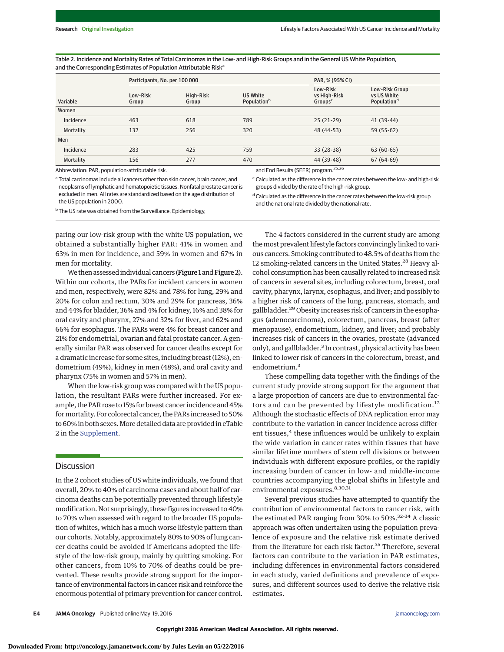Table 2. Incidence and Mortality Rates of Total Carcinomas in the Low- and High-Risk Groups and in the General US White Population, and the Corresponding Estimates of Population Attributable Risk<sup>a</sup>

|           | Participants, No. per 100 000 | PAR, % (95% CI)    |                                            |                                                 |                                                          |
|-----------|-------------------------------|--------------------|--------------------------------------------|-------------------------------------------------|----------------------------------------------------------|
| Variable  | Low-Risk<br>Group             | High-Risk<br>Group | US White<br><b>Population</b> <sup>b</sup> | Low-Risk<br>vs High-Risk<br>Groups <sup>c</sup> | Low-Risk Group<br>vs US White<br>Population <sup>d</sup> |
| Women     |                               |                    |                                            |                                                 |                                                          |
| Incidence | 463                           | 618                | 789                                        | $25(21-29)$                                     | 41 (39-44)                                               |
| Mortality | 132                           | 256                | 320                                        | 48 (44-53)                                      | 59 (55-62)                                               |
| Men       |                               |                    |                                            |                                                 |                                                          |
| Incidence | 283                           | 425                | 759                                        | 33 (28-38)                                      | $63(60-65)$                                              |
| Mortality | 156                           | 277                | 470                                        | 44 (39-48)<br>$- - - -$                         | $67(64-69)$                                              |

Abbreviation: PAR, population-attributable risk.

a Total carcinomas include all cancers other than skin cancer, brain cancer, and neoplasms of lymphatic and hematopoietic tissues. Nonfatal prostate cancer is excluded in men. All rates are standardized based on the age distribution of the US population in 2000.

and End Results (SEER) program.<sup>25,26</sup>

<sup>c</sup> Calculated as the difference in the cancer rates between the low- and high-risk groups divided by the rate of the high-risk group.

The 4 factors considered in the current study are among

<sup>d</sup> Calculated as the difference in the cancer rates between the low-risk group and the national rate divided by the national rate.

<sup>b</sup> The US rate was obtained from the Surveillance, Epidemiology,

paring our low-risk group with the white US population, we obtained a substantially higher PAR: 41% in women and 63% in men for incidence, and 59% in women and 67% in men for mortality.

We then assessed individual cancers (Figure 1 and Figure 2). Within our cohorts, the PARs for incident cancers in women and men, respectively, were 82% and 78% for lung, 29% and 20% for colon and rectum, 30% and 29% for pancreas, 36% and 44% for bladder, 36% and 4% for kidney, 16% and 38% for oral cavity and pharynx, 27% and 32% for liver, and 62% and 66% for esophagus. The PARs were 4% for breast cancer and 21% for endometrial, ovarian and fatal prostate cancer. A generally similar PAR was observed for cancer deaths except for a dramatic increase for some sites, including breast (12%), endometrium (49%), kidney in men (48%), and oral cavity and pharynx (75% in women and 57% in men).

When the low-risk group was compared with the US population, the resultant PARs were further increased. For example, the PAR rose to 15% for breast cancer incidence and 45% for mortality. For colorectal cancer, the PARs increased to 50% to 60% in both sexes.More detailed data are provided in eTable 2 in the [Supplement.](http://jama.jamanetwork.com/article.aspx?doi=10.1001/jamaoncol.2016.0843&utm_campaign=articlePDF%26utm_medium=articlePDFlink%26utm_source=articlePDF%26utm_content=jamaoncol.2016.0843)

## **Discussion**

In the 2 cohort studies of US white individuals, we found that overall, 20% to 40% of carcinoma cases and about half of carcinoma deaths can be potentially prevented through lifestyle modification. Not surprisingly, these figures increased to 40% to 70% when assessed with regard to the broader US population of whites, which has a much worse lifestyle pattern than our cohorts. Notably, approximately 80% to 90% of lung cancer deaths could be avoided if Americans adopted the lifestyle of the low-risk group, mainly by quitting smoking. For other cancers, from 10% to 70% of deaths could be prevented. These results provide strong support for the importance of environmental factors in cancer risk and reinforce the enormous potential of primary prevention for cancer control.

themost prevalent lifestyle factors convincingly linked to various cancers. Smoking contributed to 48.5% of deaths from the 12 smoking-related cancers in the United States.<sup>28</sup> Heavy alcohol consumption has been causally related to increased risk of cancers in several sites, including colorectum, breast, oral cavity, pharynx, larynx, esophagus, and liver; and possibly to a higher risk of cancers of the lung, pancreas, stomach, and gallbladder.<sup>29</sup> Obesity increases risk of cancers in the esophagus (adenocarcinoma), colorectum, pancreas, breast (after menopause), endometrium, kidney, and liver; and probably increases risk of cancers in the ovaries, prostate (advanced only), and gallbladder.<sup>3</sup> In contrast, physical activity has been linked to lower risk of cancers in the colorectum, breast, and endometrium.<sup>3</sup>

These compelling data together with the findings of the current study provide strong support for the argument that a large proportion of cancers are due to environmental factors and can be prevented by lifestyle modification.<sup>12</sup> Although the stochastic effects of DNA replication error may contribute to the variation in cancer incidence across different tissues,<sup>4</sup> these influences would be unlikely to explain the wide variation in cancer rates within tissues that have similar lifetime numbers of stem cell divisions or between individuals with different exposure profiles, or the rapidly increasing burden of cancer in low- and middle-income countries accompanying the global shifts in lifestyle and environmental exposures.<sup>8,30,31</sup>

Several previous studies have attempted to quantify the contribution of environmental factors to cancer risk, with the estimated PAR ranging from 30% to 50%.<sup>32-34</sup> A classic approach was often undertaken using the population prevalence of exposure and the relative risk estimate derived from the literature for each risk factor.<sup>35</sup> Therefore, several factors can contribute to the variation in PAR estimates, including differences in environmental factors considered in each study, varied definitions and prevalence of exposures, and different sources used to derive the relative risk estimates.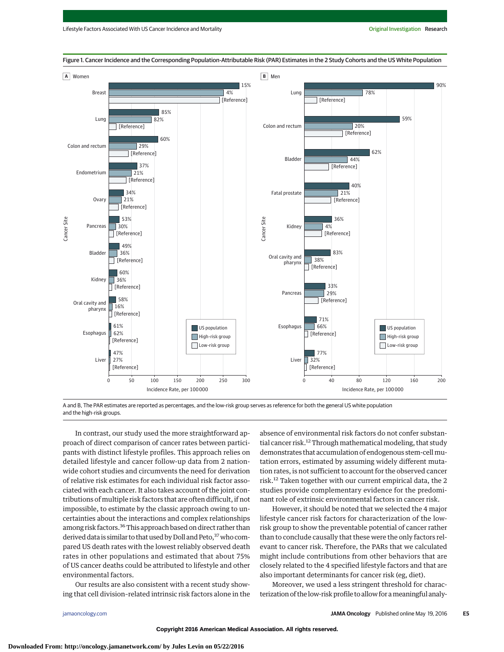

Figure 1. Cancer Incidence and the Corresponding Population-Attributable Risk (PAR) Estimates in the 2 Study Cohorts and the US White Population

A and B, The PAR estimates are reported as percentages, and the low-risk group serves as reference for both the general US white population and the high-risk groups.

In contrast, our study used the more straightforward approach of direct comparison of cancer rates between participants with distinct lifestyle profiles. This approach relies on detailed lifestyle and cancer follow-up data from 2 nationwide cohort studies and circumvents the need for derivation of relative risk estimates for each individual risk factor associated with each cancer. It also takes account of the joint contributions of multiple risk factors that are often difficult, if not impossible, to estimate by the classic approach owing to uncertainties about the interactions and complex relationships among risk factors.<sup>36</sup> This approach based on direct rather than derived data is similar to that used by Doll and Peto, <sup>37</sup> who compared US death rates with the lowest reliably observed death rates in other populations and estimated that about 75% of US cancer deaths could be attributed to lifestyle and other environmental factors.

Our results are also consistent with a recent study showing that cell division–related intrinsic risk factors alone in the

absence of environmental risk factors do not confer substantial cancer risk.<sup>12</sup> Through mathematical modeling, that study demonstrates that accumulation of endogenous stem-cellmutation errors, estimated by assuming widely different mutation rates, is not sufficient to account for the observed cancer risk.12 Taken together with our current empirical data, the 2 studies provide complementary evidence for the predominant role of extrinsic environmental factors in cancer risk.

However, it should be noted that we selected the 4 major lifestyle cancer risk factors for characterization of the lowrisk group to show the preventable potential of cancer rather than to conclude causally that these were the only factors relevant to cancer risk. Therefore, the PARs that we calculated might include contributions from other behaviors that are closely related to the 4 specified lifestyle factors and that are also important determinants for cancer risk (eg, diet).

Moreover, we used a less stringent threshold for characterization of the low-risk profile to allow for a meaningful analy-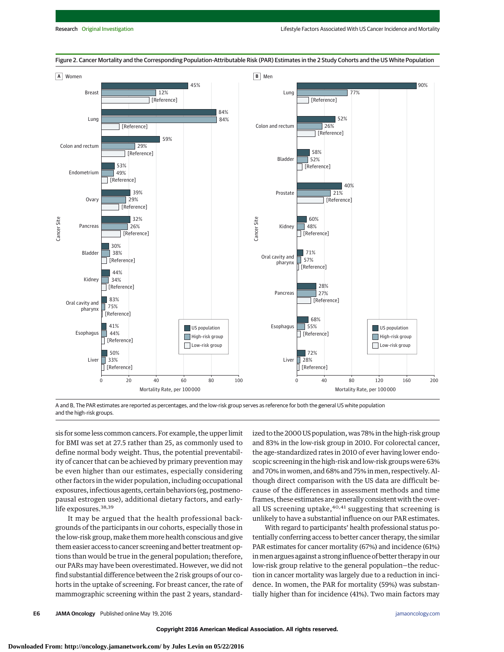

Figure 2. Cancer Mortality and the Corresponding Population-Attributable Risk (PAR) Estimates in the 2 Study Cohorts and the US White Population

A and B, The PAR estimates are reported as percentages, and the low-risk group serves as reference for both the general US white population and the high-risk groups.

sis for some less common cancers. For example, the upper limit for BMI was set at 27.5 rather than 25, as commonly used to define normal body weight. Thus, the potential preventability of cancer that can be achieved by primary prevention may be even higher than our estimates, especially considering other factors in the wider population, including occupational exposures, infectious agents, certain behaviors (eg, postmenopausal estrogen use), additional dietary factors, and earlylife exposures.<sup>38,39</sup>

It may be argued that the health professional backgrounds of the participants in our cohorts, especially those in the low-risk group, make them more health conscious and give them easier access to cancer screening and better treatment options than would be true in the general population; therefore, our PARs may have been overestimated. However, we did not find substantial difference between the 2 risk groups of our cohorts in the uptake of screening. For breast cancer, the rate of mammographic screening within the past 2 years, standardized to the 2000 US population, was 78% in the high-risk group and 83% in the low-risk group in 2010. For colorectal cancer, the age-standardized rates in 2010 of ever having lower endoscopic screening in the high-risk and low-risk groups were 63% and 70% in women, and 68% and 75% in men, respectively. Although direct comparison with the US data are difficult because of the differences in assessment methods and time frames, these estimates are generally consistent with the overall US screening uptake, $40,41$  suggesting that screening is unlikely to have a substantial influence on our PAR estimates.

With regard to participants' health professional status potentially conferring access to better cancer therapy, the similar PAR estimates for cancer mortality (67%) and incidence (61%) inmen argues against a strong influence of better therapy in our low-risk group relative to the general population—the reduction in cancer mortality was largely due to a reduction in incidence. In women, the PAR for mortality (59%) was substantially higher than for incidence (41%). Two main factors may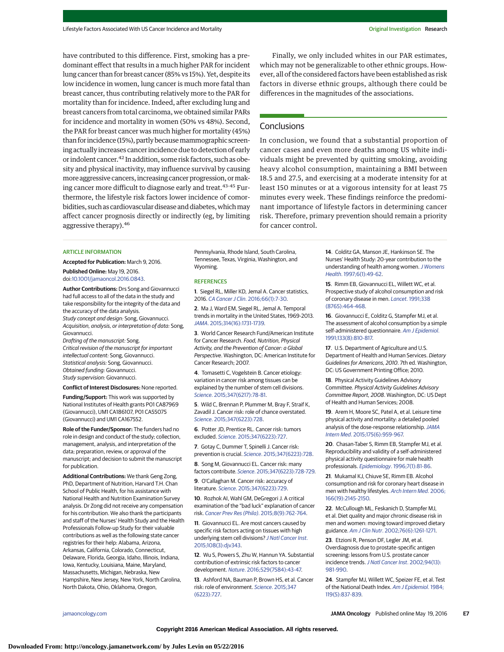have contributed to this difference. First, smoking has a predominant effect that results in a much higher PAR for incident lung cancer than for breast cancer (85% vs 15%). Yet, despite its low incidence in women, lung cancer is much more fatal than breast cancer, thus contributing relatively more to the PAR for mortality than for incidence. Indeed, after excluding lung and breast cancers from total carcinoma, we obtained similar PARs for incidence and mortality in women (50% vs 48%). Second, the PAR for breast cancer was much higher for mortality (45%) than for incidence (15%), partly because mammographic screening actually increases cancer incidence due to detection of early or indolent cancer.42 In addition, some risk factors, such as obesity and physical inactivity, may influence survival by causing more aggressive cancers, increasing cancer progression, ormaking cancer more difficult to diagnose early and treat.<sup>43-45</sup> Furthermore, the lifestyle risk factors lower incidence of comorbidities, such as cardiovascular disease and diabetes, which may affect cancer prognosis directly or indirectly (eg, by limiting aggressive therapy).46

#### **ARTICLE INFORMATION**

**Accepted for Publication:** March 9, 2016. **Published Online:** May 19, 2016.

doi[:10.1001/jamaoncol.2016.0843.](http://jama.jamanetwork.com/article.aspx?doi=10.1001/jamaoncol.2016.0843&utm_campaign=articlePDF%26utm_medium=articlePDFlink%26utm_source=articlePDF%26utm_content=jamaoncol.2016.0843)

**Author Contributions:** Drs Song and Giovannucci had full access to all of the data in the study and take responsibility for the integrity of the data and the accuracy of the data analysis. Study concept and design: Song, Giovannucci. Acquisition, analysis, or interpretation of data: Song, Giovannucci.

Drafting of the manuscript: Song. Critical revision of the manuscript for important intellectual content: Song, Giovannucci. Statistical analysis: Song, Giovannucci. Obtained funding: Giovannucci. Study supervision: Giovannucci.

#### **Conflict of Interest Disclosures:** None reported.

**Funding/Support:** This work was supported by National Institutes of Health grants P01 CA87969 (Giovannucci), UM1 CA186107, P01 CA55075 (Giovannucci) and UM1 CA167552.

**Role of the Funder/Sponsor:** The funders had no role in design and conduct of the study; collection, management, analysis, and interpretation of the data; preparation, review, or approval of the manuscript; and decision to submit the manuscript for publication.

**Additional Contributions:** We thank Geng Zong, PhD, Department of Nutrition, Harvard T.H. Chan School of Public Health, for his assistance with National Health and Nutrition Examination Survey analysis. Dr Zong did not receive any compensation for his contribution. We also thank the participants and staff of the Nurses' Health Study and the Health Professionals Follow-up Study for their valuable contributions as well as the following state cancer registries for their help: Alabama, Arizona, Arkansas, California, Colorado, Connecticut, Delaware, Florida, Georgia, Idaho, Illinois, Indiana, Iowa, Kentucky, Louisiana, Maine, Maryland, Massachusetts, Michigan, Nebraska, New Hampshire, New Jersey, New York, North Carolina, North Dakota, Ohio, Oklahoma, Oregon,

Pennsylvania, Rhode Island, South Carolina, Tennessee, Texas, Virginia, Washington, and Wyoming.

#### **REFERENCES**

**1**. Siegel RL, Miller KD, Jemal A. Cancer statistics, 2016. CA Cancer J Clin[. 2016;66\(1\):7-30.](http://www.ncbi.nlm.nih.gov/pubmed/26742998)

**2**. Ma J, Ward EM, Siegel RL, Jemal A. Temporal trends in mortality in the United States, 1969-2013. JAMA[. 2015;314\(16\):1731-1739.](http://www.ncbi.nlm.nih.gov/pubmed/26505597)

**3**. World Cancer Research Fund/American Institute for Cancer Research. Food, Nutrition, Physical Activity, and the Prevention of Cancer: a Global Perspective. Washington, DC: American Institute for Cancer Research; 2007.

**4**. Tomasetti C, Vogelstein B. Cancer etiology: variation in cancer risk among tissues can be explained by the number of stem cell divisions. Science[. 2015;347\(6217\):78-81.](http://www.ncbi.nlm.nih.gov/pubmed/25554788)

**5**. Wild C, Brennan P, Plummer M, Bray F, Straif K, Zavadil J. Cancer risk: role of chance overstated. Science[. 2015;347\(6223\):728.](http://www.ncbi.nlm.nih.gov/pubmed/25656657)

**6**. Potter JD, Prentice RL. Cancer risk: tumors excluded. Science[. 2015;347\(6223\):727.](http://www.ncbi.nlm.nih.gov/pubmed/25656658)

**7**. Gotay C, Dummer T, Spinelli J. Cancer risk: prevention is crucial. Science[. 2015;347\(6223\):728.](http://www.ncbi.nlm.nih.gov/pubmed/25656659)

**8**. Song M, Giovannucci EL. Cancer risk: many factors contribute. Science[. 2015;347\(6223\):728-729.](http://www.ncbi.nlm.nih.gov/pubmed/25678651)

**9**. O'Callaghan M. Cancer risk: accuracy of literature. Science[. 2015;347\(6223\):729.](http://www.ncbi.nlm.nih.gov/pubmed/25678652)

**10**. Rozhok AI, Wahl GM, DeGregori J. A critical examination of the "bad luck" explanation of cancer risk. [Cancer Prev Res \(Phila\)](http://www.ncbi.nlm.nih.gov/pubmed/26122457). 2015;8(9):762-764.

**11**. Giovannucci EL. Are most cancers caused by specific risk factors acting on tissues with high underlying stem cell divisions? [J Natl Cancer Inst](http://www.ncbi.nlm.nih.gov/pubmed/26553782). [2015;108\(3\):djv343.](http://www.ncbi.nlm.nih.gov/pubmed/26553782)

**12**. Wu S, Powers S, Zhu W, Hannun YA. Substantial contribution of extrinsic risk factors to cancer development. Nature[. 2016;529\(7584\):43-47.](http://www.ncbi.nlm.nih.gov/pubmed/26675728)

**13**. Ashford NA, Bauman P, Brown HS, et al. Cancer risk: role of environment. Science[. 2015;347](http://www.ncbi.nlm.nih.gov/pubmed/25678650) [\(6223\):727.](http://www.ncbi.nlm.nih.gov/pubmed/25678650)

Finally, we only included whites in our PAR estimates, which may not be generalizable to other ethnic groups. However, all of the considered factors have been established as risk factors in diverse ethnic groups, although there could be differences in the magnitudes of the associations.

# **Conclusions**

In conclusion, we found that a substantial proportion of cancer cases and even more deaths among US white individuals might be prevented by quitting smoking, avoiding heavy alcohol consumption, maintaining a BMI between 18.5 and 27.5, and exercising at a moderate intensity for at least 150 minutes or at a vigorous intensity for at least 75 minutes every week. These findings reinforce the predominant importance of lifestyle factors in determining cancer risk. Therefore, primary prevention should remain a priority for cancer control.

> **14**. Colditz GA, Manson JE, Hankinson SE. The Nurses' Health Study: 20-year contribution to the understanding of health among women. [J Womens](http://www.ncbi.nlm.nih.gov/pubmed/9065374) Health[. 1997;6\(1\):49-62.](http://www.ncbi.nlm.nih.gov/pubmed/9065374)

**15**. Rimm EB, Giovannucci EL, Willett WC, et al. Prospective study of alcohol consumption and risk of coronary disease in men. Lancet[. 1991;338](http://www.ncbi.nlm.nih.gov/pubmed/1678444) [\(8765\):464-468.](http://www.ncbi.nlm.nih.gov/pubmed/1678444)

**16**. Giovannucci E, Colditz G, Stampfer MJ, et al. The assessment of alcohol consumption by a simple self-administered questionnaire. [Am J Epidemiol](http://www.ncbi.nlm.nih.gov/pubmed/2021148). [1991;133\(8\):810-817.](http://www.ncbi.nlm.nih.gov/pubmed/2021148)

**17**. U.S. Department of Agriculture and U.S. Department of Health and Human Services. Dietary Guidelines for Americans, 2010. 7th ed. Washington, DC: US Government Printing Office; 2010.

**18**. Physical Activity Guidelines Advisory Committee. Physical Activity Guidelines Advisory Committee Report, 2008. Washington, DC: US Dept of Health and Human Services; 2008.

**19**. Arem H, Moore SC, Patel A, et al. Leisure time physical activity and mortality: a detailed pooled analysis of the dose-response relationship. [JAMA](http://www.ncbi.nlm.nih.gov/pubmed/25844730) Intern Med[. 2015;175\(6\):959-967.](http://www.ncbi.nlm.nih.gov/pubmed/25844730)

**20**. Chasan-Taber S, Rimm EB, Stampfer MJ, et al. Reproducibility and validity of a self-administered physical activity questionnaire for male health professionals. Epidemiology[. 1996;7\(1\):81-86.](http://www.ncbi.nlm.nih.gov/pubmed/8664406)

**21**. Mukamal KJ, Chiuve SE, Rimm EB. Alcohol consumption and risk for coronary heart disease in men with healthy lifestyles. [Arch Intern Med](http://www.ncbi.nlm.nih.gov/pubmed/17060546). 2006; [166\(19\):2145-2150.](http://www.ncbi.nlm.nih.gov/pubmed/17060546)

**22**. McCullough ML, Feskanich D, Stampfer MJ, et al. Diet quality and major chronic disease risk in men and women: moving toward improved dietary guidance. Am J Clin Nutr[. 2002;76\(6\):1261-1271.](http://www.ncbi.nlm.nih.gov/pubmed/12450892)

**23**. Etzioni R, Penson DF, Legler JM, et al. Overdiagnosis due to prostate-specific antigen screening: lessons from U.S. prostate cancer incidence trends. [J Natl Cancer Inst](http://www.ncbi.nlm.nih.gov/pubmed/12096083). 2002;94(13): [981-990.](http://www.ncbi.nlm.nih.gov/pubmed/12096083)

**24**. Stampfer MJ, Willett WC, Speizer FE, et al. Test of the National Death Index. [Am J Epidemiol](http://www.ncbi.nlm.nih.gov/pubmed/6720679). 1984; [119\(5\):837-839.](http://www.ncbi.nlm.nih.gov/pubmed/6720679)